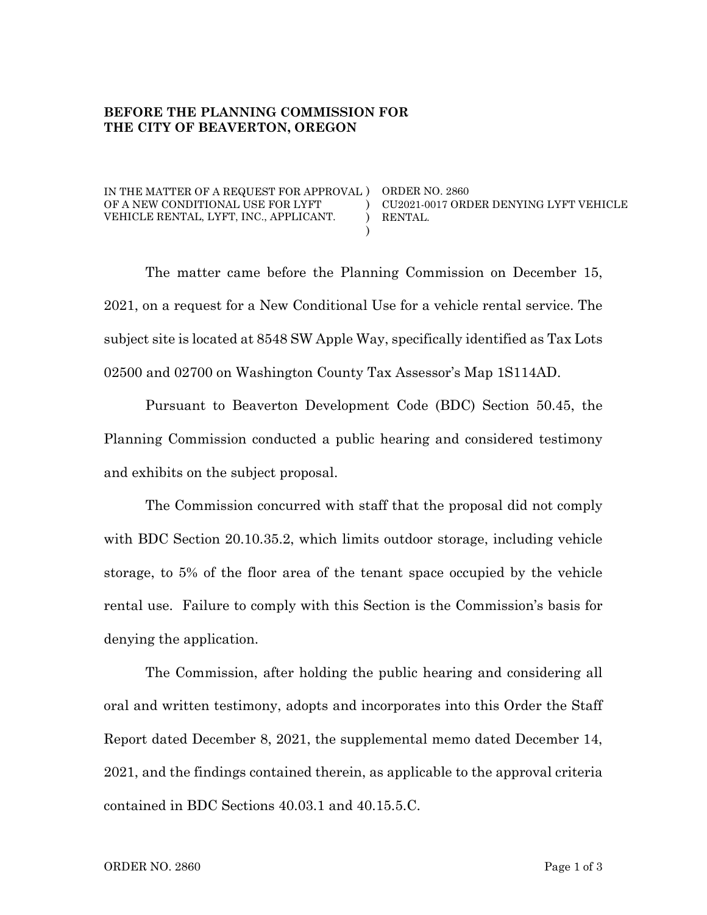## **BEFORE THE PLANNING COMMISSION FOR THE CITY OF BEAVERTON, OREGON**

IN THE MATTER OF A REQUEST FOR APPROVAL ) ORDER NO. 2860 OF A NEW CONDITIONAL USE FOR LYFT VEHICLE RENTAL, LYFT, INC., APPLICANT.

CU2021-0017 ORDER DENYING LYFT VEHICLE RENTAL.

The matter came before the Planning Commission on December 15, 2021, on a request for a New Conditional Use for a vehicle rental service. The subject site is located at 8548 SW Apple Way, specifically identified as Tax Lots 02500 and 02700 on Washington County Tax Assessor's Map 1S114AD.

 $\lambda$  $\mathcal{L}$ )

Pursuant to Beaverton Development Code (BDC) Section 50.45, the Planning Commission conducted a public hearing and considered testimony and exhibits on the subject proposal.

The Commission concurred with staff that the proposal did not comply with BDC Section 20.10.35.2, which limits outdoor storage, including vehicle storage, to 5% of the floor area of the tenant space occupied by the vehicle rental use. Failure to comply with this Section is the Commission's basis for denying the application.

The Commission, after holding the public hearing and considering all oral and written testimony, adopts and incorporates into this Order the Staff Report dated December 8, 2021, the supplemental memo dated December 14, 2021, and the findings contained therein, as applicable to the approval criteria contained in BDC Sections 40.03.1 and 40.15.5.C.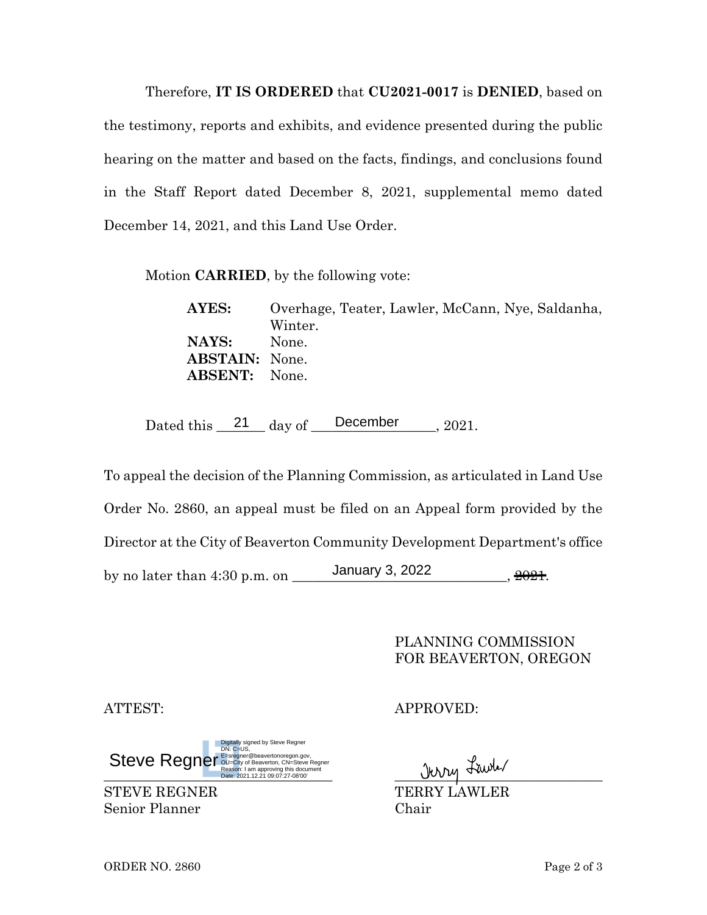Therefore, **IT IS ORDERED** that **CU2021-0017** is **DENIED**, based on the testimony, reports and exhibits, and evidence presented during the public hearing on the matter and based on the facts, findings, and conclusions found in the Staff Report dated December 8, 2021, supplemental memo dated December 14, 2021, and this Land Use Order.

Motion **CARRIED**, by the following vote:

**AYES:** Overhage, Teater, Lawler, McCann, Nye, Saldanha, Winter. **NAYS:** None. **ABSTAIN:** None. **ABSENT:** None.

Dated this  $21$  day of December 2021.

To appeal the decision of the Planning Commission, as articulated in Land Use Order No. 2860, an appeal must be filed on an Appeal form provided by the Director at the City of Beaverton Community Development Department's office by no later than 4:30 p.m. on \_\_\_\_\_\_\_\_\_\_\_\_\_\_\_\_\_\_\_\_\_\_\_\_\_\_\_\_\_\_\_, 2021. 21 day of December<br>
December<br>
December<br>
December<br>
3, 2022<br>
December<br>
December<br>
December<br>
December<br>
2022<br>
2022

> PLANNING COMMISSION FOR BEAVERTON, OREGON

De Reason: 1 am approving this occurrient<br>Date: 2021.12.21 09:07:27-08'00' Steve Regner@beavertonoregon.gov,<br>
Reason: I am approving this document<br>
Date: 2021.12.21 09:07:27-08'00' Digitally signed by Steve Regner DN: C=US,

Senior Planner Chair

ATTEST: APPROVED:

STEVE REGNER TERRY LAWLER